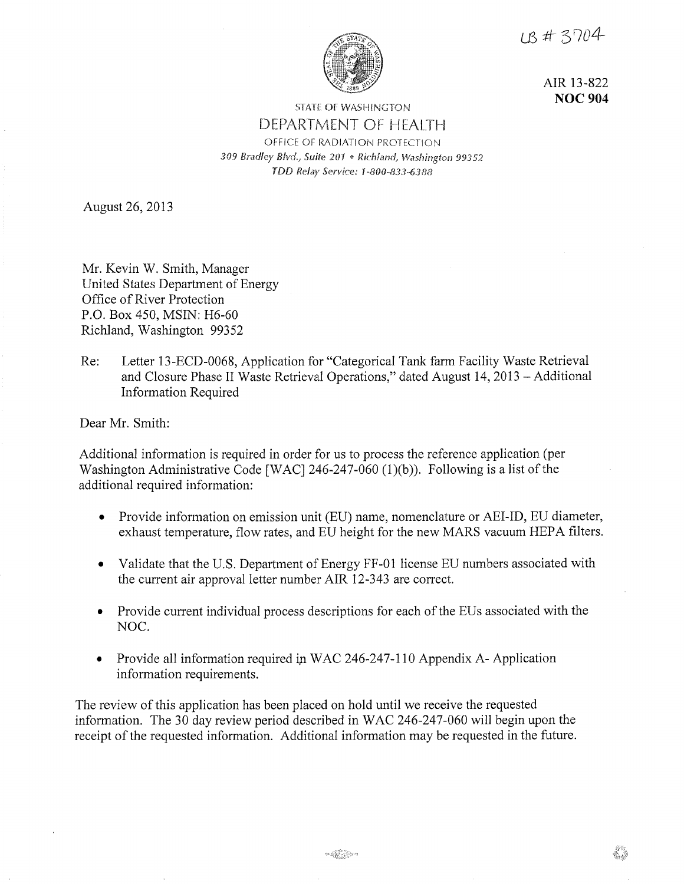UB # 3704



AIR 13-822 **NOC 904** 

## STATE OF WASHINGTON DEPARTMENT OF HEALTH OFFICE OF RADIATION PROTECTION *309 Bradley Blvd\_, Suite 201* Q *Richland, Washington 99357.*  TDD Relay Service: 1-800-833-6388

August 26, 2013

Mr. Kevin W. Smith, Manager United States Department of Energy Office of River Protection P.O. Box 450, MSIN: H6-60 Richland, Washington 99352

Re: Letter 13-ECD-0068, Application for "Categorical Tank farm Facility Waste Retrieval and Closure Phase II Waste Retrieval Operations," dated August 14, 2013 -Additional Information Required

Dear Mr. Smith:

Additional information is required in order for us to process the reference application (per Washington Administrative Code [WAC] 246-247-060 (1)(b)). Following is a list of the additional required information:

- Provide information on emission unit (EU) name, nomenclature or AEI-ID, EU diameter, exhaust temperature, flow rates, and EU height for the new MARS vacuum HEPA filters.
- Validate that the U.S. Department of Energy FF-01 license EU numbers associated with the current air approval letter number AIR 12-343 are correct.
- Provide current individual process descriptions for each of the EUs associated with the NOC.
- Provide all information required *ip* WAC 246-247-110 Appendix A-Application information requirements.

The review of this application has been placed on hold until we receive the requested information. The 30 day review period described in WAC 246-247-060 will begin upon the receipt of the requested information. Additional information may be requested in the future.